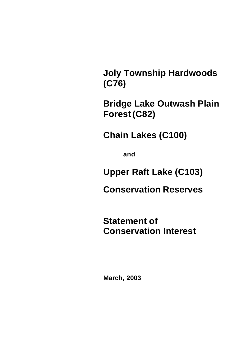**Joly Township Hardwoods (C76)**

**Bridge Lake Outwash Plain Forest(C82)**

**Chain Lakes (C100)**

**and**

**Upper Raft Lake (C103)**

**Conservation Reserves** 

**Statement of Conservation Interest**

**March, 2003**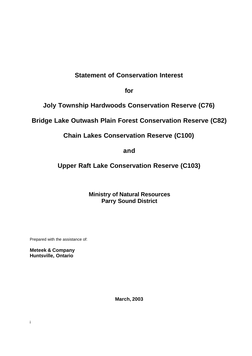# **Statement of Conservation Interest**

**for**

**Joly Township Hardwoods Conservation Reserve (C76)**

# **Bridge Lake Outwash Plain Forest Conservation Reserve (C82)**

**Chain Lakes Conservation Reserve (C100)**

**and**

**Upper Raft Lake Conservation Reserve (C103)**

**Ministry of Natural Resources Parry Sound District**

Prepared with the assistance of:

**Meteek & Company Huntsville, Ontario**

**March, 2003**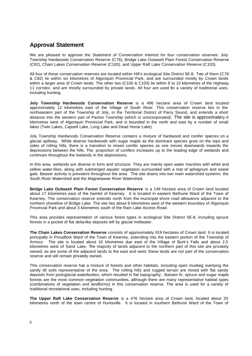### **Approval Statement**

We are pleased to approve the Statement of Conservation Interest for four conservation reserves: Joly Township Hardwoods Conservation Reserve (C76), Bridge Lake Outwash Plain Forest Conservation Reserve (C82), Chain Lakes Conservation Reserve (C100), and Upper Raft Lake Conservation Reserve (C103).

All four of these conservation reserves are located within Hill's ecological Site District 5E-8. Two of them (C76 & C82) lie within six kilometres of Algonquin Provincial Park, and are surrounded mostly by Crown lands within a larger area of Crown lands. The other two (C100 & C103) lie within 8 to 10 kilometres of the Highway 11 corridor, and are mostly surrounded by private lands. All four are used for a variety of traditional uses, including hunting.

**Joly Township Hardwoods Conservation Reserve** is a 496 hectare area of Crown land located approximately 12 kilometres east of the Village of South River. This conservation reserve lies in the northeastern part of the Township of Joly, in the Territorial District of Parry Sound, and extends a short distance into the western part of Paxton Township (which is unincorporated). The site is approximately 6 kilometres west of Algonquin Provincial Park, and is bounded in the north and east by a number of small lakes (Twin Lakes, Capsell Lake, Long Lake and Dead Horse Lake).

Joly Township Hardwoods Conservation Reserve contains a mixture of hardwood and conifer species on a glacial spillway. While diverse hardwoods with sugar maple as the dominant species grow on the tops and sides of rolling hills, there is a transition to mixed conifer species as one moves downwards towards the depressions between the hills. The proportion of conifers increases up to the leading edge of wetlands and continues throughout the lowlands in the depressions.

In this area, wetlands are diverse in form and structure. They are mainly open water marshes with white and yellow water-lilies, along with submerged aquatic vegetation surrounded with a mat of sphagnum and sweet gale. Beaver activity is prevalent throughout the area. The site drains into two main watershed systems: the South River Watershed and the Magnetawan River Watershed.

**Bridge Lake Outwash Plain Forest Conservation Reserve** is a 149 hectare area of Crown land located about 17 kilometres east of the hamlet of Kearney. It is located in eastern Bethune Ward of the Town of Kearney. The conservation reserve extends north from the municipal shore road allowance adjacent to the northern shoreline of Bridge Lake. The site lies about 6 kilometres west of the western boundary of Algonquin Provincial Park and about 3 kilometres south of the Rain Lake Access Road.

This area provides representation of various forest types in ecological Site District 5E-8, including spruce forests in a pocket of flat delta-like deposits left by glacial meltwater.

**The Chain Lakes Conservation Reserve** consists of approximately 919 hectares of Crown land. It is located principally in Proudfoot Ward of the Town of Kearney, extending into the eastern portion of the Township of Armour. The site is located about 10 kilometres due east of the Village of Burk's Falls and about 2.5 kilometres west of Sand Lake. The majority of lands adjacent to the northern part of this site are privately owned, as are some of the adjacent lands to the east and west; these lands are not part of the conservation reserve and will remain privately owned.

This conservation reserve has a mixture of forests and other habitats, including open muskeg overlying the sandy till soils representative of the area. The rolling hills and rugged terrain are mixed with flat sandy deposits from post-glacial waterbodies, which resulted in flat topography. Balsam fir, spruce and sugar maple forests are the most common vegetation communities, although there are many representative habitat types (combinations of vegetation and landforms) in this conservation reserve. The area is used for a variety of traditional recreational uses, including hunting.

**The Upper Raft Lake Conservation Reserve** is a 476 hectare area of Crown land, located about 20 kilometres north of the town centre of Huntsville. It is located in southern Bethune Ward of the Town of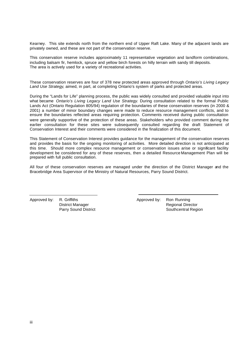Kearney. This site extends north from the northern end of Upper Raft Lake. Many of the adjacent lands are privately owned, and these are not part of the conservation reserve.

This conservation reserve includes approximately 11 representative vegetation and landform combinations, including balsam fir, hemlock, spruce and yellow birch forests on hilly terrain with sandy till deposits. The area is actively used for a variety of recreational activities.

These conservation reserves are four of 378 new protected areas approved through *Ontario's Living Legacy Land Use Strategy*, aimed, in part, at completing Ontario's system of parks and protected areas.

During the "Lands for Life" planning process, the public was widely consulted and provided valuable input into what became *Ontario's Living Legacy Land Use Strategy*. During consultation related to the formal Public Lands Act (Ontario Regulation 805/94) regulation of the boundaries of these conservation reserves (in 2000 & 2001) a number of minor boundary changes were made to reduce resource management conflicts, and to ensure the boundaries reflected areas requiring protection. Comments received during public consultation were generally supportive of the protection of these areas. Stakeholders who provided comment during the earlier consultation for these sites were subsequently consulted regarding the draft Statement of Conservation Interest and their comments were considered in the finalization of this document.

This Statement of Conservation Interest provides guidance for the management of the conservation reserves and provides the basis for the ongoing monitoring of activities. More detailed direction is not anticipated at this time. Should more complex resource management or conservation issues arise or significant facility development be considered for any of these reserves, then a detailed Resource Management Plan will be prepared with full public consultation.

All four of these conservation reserves are managed under the direction of the District Manager and the Bracebridge Area Supervisor of the Ministry of Natural Resources, Parry Sound District.

Approved by: R. Griffiths District Manager Parry Sound District Approved by: Ron Running Regional Director Southcentral Region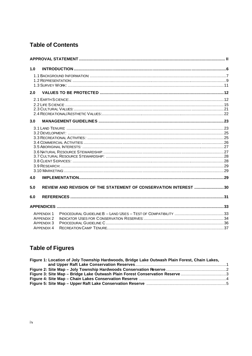## **Table of Contents**

| 1.0                   |                                                                  |  |
|-----------------------|------------------------------------------------------------------|--|
|                       |                                                                  |  |
| 2.0                   |                                                                  |  |
|                       |                                                                  |  |
|                       |                                                                  |  |
|                       |                                                                  |  |
|                       |                                                                  |  |
| 3.0                   |                                                                  |  |
|                       |                                                                  |  |
|                       |                                                                  |  |
|                       |                                                                  |  |
|                       |                                                                  |  |
|                       |                                                                  |  |
|                       |                                                                  |  |
|                       |                                                                  |  |
|                       |                                                                  |  |
|                       |                                                                  |  |
|                       |                                                                  |  |
| 4.0                   |                                                                  |  |
| 5.0                   | REVIEW AND REVISION OF THE STATEMENT OF CONSERVATION INTEREST 30 |  |
|                       |                                                                  |  |
| 6.0                   |                                                                  |  |
|                       |                                                                  |  |
| <b>APPENDIX 1</b>     |                                                                  |  |
| APPFNDIX <sub>2</sub> |                                                                  |  |
| <b>APPENDIX 3</b>     |                                                                  |  |
| <b>APPENDIX 4</b>     |                                                                  |  |

# **Table of Figures**

| Figure 1: Location of Joly Township Hardwoods, Bridge Lake Outwash Plain Forest, Chain Lakes, |  |
|-----------------------------------------------------------------------------------------------|--|
|                                                                                               |  |
|                                                                                               |  |
| Figure 3: Site Map - Bridge Lake Outwash Plain Forest Conservation Reserve 3                  |  |
|                                                                                               |  |
|                                                                                               |  |
|                                                                                               |  |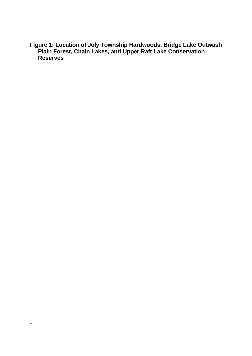**Figure 1: Location of Joly Township Hardwoods, Bridge Lake Outwash Plain Forest, Chain Lakes, and Upper Raft Lake Conservation Reserves**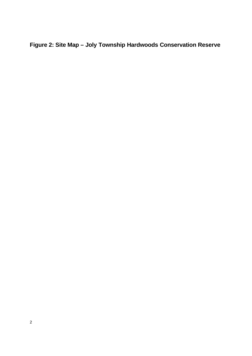# **Figure 2: Site Map – Joly Township Hardwoods Conservation Reserve**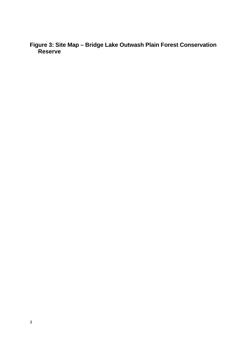**Figure 3: Site Map – Bridge Lake Outwash Plain Forest Conservation Reserve**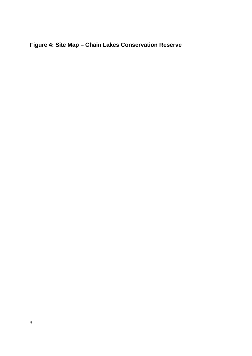# **Figure 4: Site Map – Chain Lakes Conservation Reserve**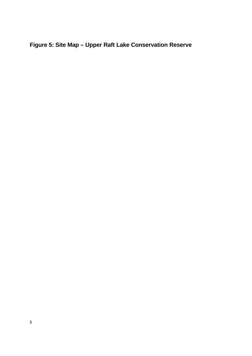# **Figure 5: Site Map – Upper Raft Lake Conservation Reserve**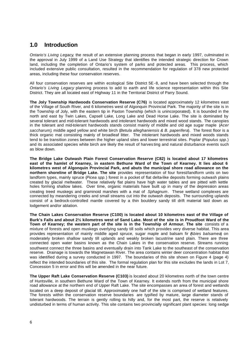### **1.0 Introduction**

*Ontario's Living Legacy*, the result of an extensive planning process that began in early 1997, culminated in the approval in July 1999 of a Land Use Strategy that identifies the intended strategic direction for Crown land, including the completion of Ontario's system of parks and potected areas. This process, which included extensive public consultation, resulted in the recommendation for regulation of 378 new protected areas, including these four conservation reserves.

All four conservation reserves are within ecological Site District 5E-8, and have been selected through the *Ontario's Living Legacy* planning process to add to earth and life science representation within this Site District. They are all located east of Highway 11 in the Territorial District of Parry Sound.

**The Joly Township Hardwoods Conservation Reserve (C76)** is located approximately 12 kilometres east of the Village of South River, and 6 kilometres west of Algonquin Provincial Park. The majority of the site is in the Township of Joly, with the eastern tip in Paxton Township (which is unincorporated). It is bounded in the north and east by Twin Lakes, Capsell Lake, Long Lake and Dead Horse Lake. The site is dominated by several tolerant and mid-tolerant hardwoods and intolerant hardwoods and mixed wood stands. The canopies in the tolerant and mid-tolerant hardwoods stands consist mainly of middle and old age sugar maple (*Acer saccharum)*, middle aged yellow and white birch (*Betula alleghaniensis & B. paperifera*). The forest floor is a thick organic mat consisting mainly of broadleaf litter. The intolerant hardwoods and mixed woods stands tend to be transition zones between the higher upland sites and lower terrestrial sites. Poplar (*Populus spp*.) and its associated species white birch are likely the result of harves ting and natural disturbance events such as blow down.

**The Bridge Lake Outwash Plain Forest Conservation Reserve (C82) is located about 17 kilometres east of the hamlet of Kearney, in eastern Bethune Ward of the Town of Kearney. It lies about 6 kilometres west of Algonquin Provincial Park, and abuts the municipal shore road allowance on the northern shoreline of Bridge Lake. The site** provides representation of four forest/landform units on two landform types, mainly spruce (*Picea spp.*) forest in a pocket of flat delta-like deposits forming outwash plains created by glacial meltwater. These relatively flat plains have high water tables and are pitted with kettle holes forming shallow lakes. Over time, organic materials have built up in many of the depression areas creating treed muskegs and graminoid marshes with a mat of *Sphagnum*. These wetland complexes are connected by meandering creeks and small streams cut into the outwash deposits. The surrounding uplands consist of a bedrock-controlled mantle covered by a thin bouldery sandy till drift material laid down as lodgement and/or ablation.

**The Chain Lakes Conservation Reserve (C100) is located about 10 kilometres east of the Village of Burk's Falls and about 2½ kilometres west of Sand Lake. Most of the site is in Proudfoot Ward of the Town of Kearney; the western part of the site is in the Township of Armour. The site** consists of a mixture of forests and open muskegs overlying sandy till soils which provides very diverse habitat. This area provides representation of mainly middle aged spruce, sugar maple and balsam fir (*Abies balsamea*) on moderately broken shallow sandy till uplands and weakly broken lacustrine sand plain. There are three connected open water basins known as the Chain Lakes in the conservation reserve. Streams running southwest connect the three basins and eventually drain into Tank Lake to the southeast of the conservation reserve. Drainage is towards the Magnetawan River. The area contains winter deer concentration habitat that was identified during a survey conducted in 1997. The boundaries of this site shown on Figure 4 (page 4) reflect the intended boundaries of this site. The formal regulation plan for this site excludes the lands in Lot 7, Concession 5 in error and this will be amended in the near future.

**The Upper Raft Lake Conservation Reserve (C103)** is located about 20 kilometres north of the town centre of Huntsville, in southern Bethune Ward of the Town of Kearney. It extends north from the municipal shore road allowance at the northern end of Upper Raft Lake. The site encompasses an area of forest and wetlands located on a deep deposit of glacial till. Approximately one half of the site is comprised of wetland features. The forests within the conservation reserve boundaries are typified by mature, large diameter stands of tolerant hardwoods. The terrain is gently rolling to hilly and, for the most part, the reserve is relatively undisturbed in terms of human activity. This site contains two provincially significant plant species: long sedge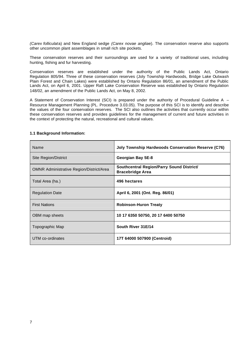*(Carex folliculat*a) and New England sedge *(Carex novae anglia*e). The conservation reserve also supports other uncommon plant assemblages in small rich site pockets.

These conservation reserves and their surroundings are used for a variety of traditional uses, including hunting, fishing and fur harvesting.

Conservation reserves are established under the authority of the Public Lands Act, Ontario Regulation 805/94. Three of these conservation reserves (Joly Township Hardwoods, Bridge Lake Outwash Plain Forest and Chain Lakes) were established by Ontario Regulation 86/01, an amendment of the Public Lands Act, on April 6, 2001. Upper Raft Lake Conservation Reserve was established by Ontario Regulation 148/02, an amendment of the Public Lands Act, on May 8, 2002.

A Statement of Conservation Interest (SCI) is prepared under the authority of Procedural Guideline A – Resource Management Planning (PL. Procedure 3.03.05). The purpose of this SCI is to identify and describe the values of the four conservation reserves. The SCI also outlines the activities that currently occur within these conservation reserves and provides guidelines for the management of current and future activities in the context of protecting the natural, recreational and cultural values.

| Name                                            | <b>Joly Township Hardwoods Conservation Reserve (C76)</b>            |  |
|-------------------------------------------------|----------------------------------------------------------------------|--|
| Site Region/District                            | Georgian Bay 5E-8                                                    |  |
| <b>OMNR Administrative Region/District/Area</b> | Southcentral Region/Parry Sound District/<br><b>Bracebridge Area</b> |  |
| Total Area (ha.)                                | 496 hectares                                                         |  |
| <b>Regulation Date</b>                          | April 6, 2001 (Ont. Reg. 86/01)                                      |  |
| <b>First Nations</b>                            | <b>Robinson-Huron Treaty</b>                                         |  |
| OBM map sheets                                  | 10 17 6350 50750, 20 17 6400 50750                                   |  |
| Topographic Map                                 | South River 31E/14                                                   |  |
| UTM co-ordinates                                | 17T 64000 507900 (Centroid)                                          |  |

#### **1.1 Background Information:**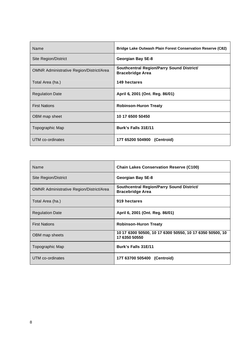| Name                                            | Bridge Lake Outwash Plain Forest Conservation Reserve (C82)          |  |
|-------------------------------------------------|----------------------------------------------------------------------|--|
| Site Region/District                            | Georgian Bay 5E-8                                                    |  |
| <b>OMNR Administrative Region/District/Area</b> | Southcentral Region/Parry Sound District/<br><b>Bracebridge Area</b> |  |
| Total Area (ha.)                                | 149 hectares                                                         |  |
| <b>Regulation Date</b>                          | April 6, 2001 (Ont. Reg. 86/01)                                      |  |
| <b>First Nations</b>                            | <b>Robinson-Huron Treaty</b>                                         |  |
| OBM map sheet                                   | 10 17 6500 50450                                                     |  |
| Topographic Map                                 | Burk's Falls 31E/11                                                  |  |
| UTM co-ordinates                                | 17T 65200 504900 (Centroid)                                          |  |

| Name                                            | <b>Chain Lakes Conservation Reserve (C100)</b>                            |
|-------------------------------------------------|---------------------------------------------------------------------------|
| Site Region/District                            | Georgian Bay 5E-8                                                         |
| <b>OMNR Administrative Region/District/Area</b> | Southcentral Region/Parry Sound District/<br><b>Bracebridge Area</b>      |
| Total Area (ha.)                                | 919 hectares                                                              |
| <b>Regulation Date</b>                          | April 6, 2001 (Ont. Reg. 86/01)                                           |
| <b>First Nations</b>                            | <b>Robinson-Huron Treaty</b>                                              |
| OBM map sheets                                  | 10 17 6300 50500, 10 17 6300 50550, 10 17 6350 50500, 10<br>17 6350 50550 |
| Topographic Map                                 | Burk's Falls 31E/11                                                       |
| UTM co-ordinates                                | 17T 63700 505400 (Centroid)                                               |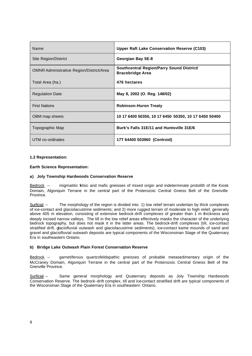| Name                                            | <b>Upper Raft Lake Conservation Reserve (C103)</b>                   |  |
|-------------------------------------------------|----------------------------------------------------------------------|--|
| Site Region/District                            | Georgian Bay 5E-8                                                    |  |
| <b>OMNR Administrative Region/District/Area</b> | Southcentral Region/Parry Sound District/<br><b>Bracebridge Area</b> |  |
| Total Area (ha.)                                | 476 hectares                                                         |  |
| <b>Regulation Date</b>                          | May 8, 2002 (O. Reg. 148/02)                                         |  |
| <b>First Nations</b>                            | <b>Robinson-Huron Treaty</b>                                         |  |
| OBM map sheets                                  | 10 17 6400 50350, 10 17 6450 50350, 10 17 6450 50400                 |  |
| Topographic Map                                 | Burk's Falls 31E/11 and Huntsville 31E/6                             |  |
| UTM co-ordinates                                | 17T 64400 503960 (Centroid)                                          |  |

#### **1.2 Representation:**

#### **Earth Science Representation:**

#### **a) Joly Township Hardwoods Conservation Reserve**

Bedrock -- migmatitic felsic and mafic gneisses of mixed origin and indeterminate protolith of the Kiosk Domain, Algonquin Terrane in the central part of the Proterozoic Central Gneiss Belt of the Grenville Province.

Surficial -- The morphology of the region is divided into: 1) low relief terrain underlain by thick complexes of ice-contact and glaciolacustrine sediments; and 2) more rugged terrain of moderate to high relief, generally above 405 m elevation, consisting of extensive bedrock-drift complexes of greater than 1 m thickness and deeply incised narrow valleys. The till in the low relief areas effectively masks the character of the underlying bedrock topography, but does not mask it in the latter areas. The bedrock-drift complexes (till, ice-contact stratified drift, glaciofluvial outwash and glaciolacustrine sediments), ice-contact kame mounds of sand and gravel and glaciofluvial outwash deposits are typical components of the Wisconsinan Stage of the Quaternary Era in southeastern Ontario.

#### **b) Bridge Lake Outwash Plain Forest Conservation Reserve**

Bedrock -- garnetiferous quartzofeldspathic gneisses of probable metasedimentary origin of the McCraney Domain, Algonquin Terrane in the central part of the Proterozoic Central Gneiss Belt of the Grenville Province.

Surficial -- Same general morphology and Quaternary deposits as Joly Township Hardwoods Conservation Reserve. The bedrock-drift complex, till and ice-contact stratified drift are typical components of the Wisconsinan Stage of the Quaternary Era in southeastern Ontario.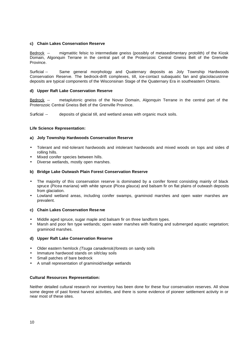#### **c) Chain Lakes Conservation Reserve**

Bedrock -- migmatitic felsic to intermediate gneiss (possibly of metasedimentary protolith) of the Kiosk Domain, Algonquin Terrane in the central part of the Proterozoic Central Gneiss Belt of the Grenville Province.

Surficial -- Same general morphology and Quaternary deposits as Joly Township Hardwoods Conservation Reserve. The bedrock-drift complexes, till, ice-contact subaquatic fan and glaciolacustrine deposits are typical components of the Wisconsinan Stage of the Quaternary Era in southeastern Ontario.

#### **d) Upper Raft Lake Conservation Reserve**

Bedrock -- metaplutonic gneiss of the Novar Domain, Algonquin Terrane in the central part of the Proterozoic Central Gneiss Belt of the Grenville Province.

Surficial -- deposits of glacial till, and wetland areas with organic muck soils.

#### **Life Science Representation:**

#### **a) Joly Township Hardwoods Conservation Reserve**

- Tolerant and mid-tolerant hardwoods and intolerant hardwoods and mixed woods on tops and sides d rolling hills.
- Mixed conifer species between hills.
- Diverse wetlands, mostly open marshes.

#### **b) Bridge Lake Outwash Plain Forest Conservation Reserve**

- The majority of this conservation reserve is dominated by a conifer forest consisting mainly of black spruce (*Picea mariana*) with white spruce (*Picea glauca*) and balsam fir on flat plains of outwash deposits from glaciation.
- Lowland wetland areas, including conifer swamps, graminoid marshes and open water marshes are prevalent.

#### **c) Chain Lakes Conservation Rese rve**

- Middle aged spruce, sugar maple and balsam fir on three landform types.
- Marsh and poor fen type wetlands; open water marshes with floating and submerged aquatic vegetation; graminoid marshes.

#### **d) Upper Raft Lake Conservation Reserve**

- Older eastern hemlock *(Tsuga canadensi*s)forests on sandy soils
- Immature hardwood stands on silt/clay soils
- Small patches of bare bedrock
- A small representation of graminoid/sedge wetlands

#### **Cultural Resources Representation:**

Neither detailed cultural research nor inventory has been done for these four conservation reserves. All show some degree of past forest harvest activities, and there is some evidence of pioneer settlement activity in or near most of these sites.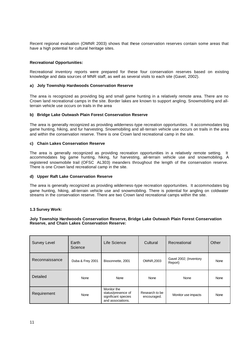Recent regional evaluation (OMNR 2003) shows that these conservation reserves contain some areas that have a high potential for cultural heritage sites.

#### **Recreational Opportunities:**

Recreational inventory reports were prepared for these four conservation reserves based on existing knowledge and data sources of MNR staff, as well as several visits to each site (Gavel, 2002).

#### **a) Joly Township Hardwoods Conservation Reserve**

The area is recognized as providing big and small game hunting in a relatively remote area. There are no Crown land recreational camps in the site. Border lakes are known to support angling. Snowmobiling and allterrain vehicle use occurs on trails in the area

#### **b) Bridge Lake Outwash Plain Forest Conservation Reserve**

The area is generally recognized as providing wilderness-type recreation opportunities. It accommodates big game hunting, hiking, and fur harvesting. Snowmobiling and all-terrain vehicle use occurs on trails in the area and within the conservation reserve. There is one Crown land recreational camp in the site.

#### **c) Chain Lakes Conservation Reserve**

The area is generally recognized as providing recreation opportunities in a relatively remote setting. It accommodates big game hunting, hiking, fur harvesting, all-terrain vehicle use and snowmobiling. A registered snowmobile trail (OFSC AL303) meanders throughout the length of the conservation reserve. There is one Crown land recreational camp in the site.

#### **d) Upper Raft Lake Conservation Reserve**

The area is generally recognized as providing wilderness-type recreation opportunities. It accommodates big game hunting, hiking, all-terrain vehicle use and snowmobiling. There is potential for angling on coldwater streams in the conservation reserve. There are two Crown land recreational camps within the site.

#### **1.3 Survey Work:**

#### **Joly Township Hardwoods Conservation Reserve, Bridge Lake Outwash Plain Forest Conservation Reserve, and Chain Lakes Conservation Reserve:**

| <b>Survey Level</b><br>Earth<br>Science |                  | Life Science                                                                  | Cultural                      | Recreational                      | Other |
|-----------------------------------------|------------------|-------------------------------------------------------------------------------|-------------------------------|-----------------------------------|-------|
| Reconnaissance                          | Duba & Frey 2001 | Bissonnette, 2001                                                             | <b>OMNR,2003</b>              | Gavel 2002; (Inventory<br>Report) | None  |
| Detailed                                | None             | None                                                                          | None                          | None                              | None  |
| Requirement                             | None             | Monitor the<br>status/presence of<br>significant species<br>and associations. | Research to be<br>encouraged. | Monitor use impacts               | None  |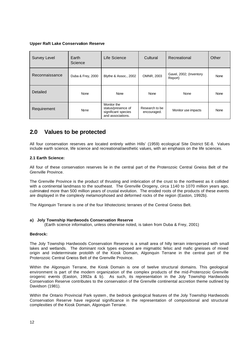#### **Upper Raft Lake Conservation Reserve**

| <b>Survey Level</b> | Earth<br>Science  | Life Science                                                                  | Cultural                      | Recreational                       | Other |
|---------------------|-------------------|-------------------------------------------------------------------------------|-------------------------------|------------------------------------|-------|
| Reconnaissance      | Duba & Frey, 2000 | Blythe & Assoc., 2002                                                         | OMNR, 2003                    | Gavel, 2002; (Inventory<br>Report) | None  |
| Detailed            | None              | <b>None</b>                                                                   | None                          | None                               | None  |
| Requirement         | None              | Monitor the<br>status/presence of<br>significant species<br>and associations. | Research to be<br>encouraged. | Monitor use impacts                | None  |

### **2.0 Values to be protected**

All four conservation reserves are located entirely within Hills' (1959) ecological Site District 5E-8. Values include earth science, life science and recreational/aesthetic values, with an emphasis on the life sciences.

#### **2.1 Earth Science:**

All four of these conservation reserves lie in the central part of the Proterozoic Central Gneiss Belt of the Grenville Province.

The Grenville Province is the product of thrusting and imbrication of the crust to the northwest as it collided with a continental landmass to the southeast. The Grenville Orogeny, circa 1140 to 1070 million years ago, culminated more than 500 million years of crustal evolution. The eroded roots of the products of these events are displayed in the complexly metamorphosed and deformed rocks of the region (Easton, 1992b).

The Algonquin Terrane is one of the four lithotectonic terranes of the Central Gneiss Belt.

#### **a) Joly Township Hardwoods Conservation Reserve**

(Earth science information, unless otherwise noted, is taken from Duba & Frey, 2001)

#### **Bedrock:**

The Joly Township Hardwoods Conservation Reserve is a small area of hilly terrain interspersed with small lakes and wetlands. The dominant rock types exposed are migmatitic felsic and mafic gneisses of mixed origin and indeterminate protolith of the Kiosk Domain, Algonquin Terrane in the central part of the Proterozoic Central Gneiss Belt of the Grenville Province.

Within the Algonquin Terrane, the Kiosk Domain is one of twelve structural domains. This geological environment is part of the modern organization of the complex products of the mid-Proterozoic Grenville orogenic events (Easton, 1992a & b). As such, its representation in the Joly Township Hardwoods Conservation Reserve contributes to the conservation of the Grenville continental accretion theme outlined by Davidson (1981).

Within the Ontario Provincial Park system , the bedrock geological features of the Joly Township Hardwoods Conservation Reserve have regional significance in the representation of compositional and structural complexities of the Kiosk Domain, Algonquin Terrane.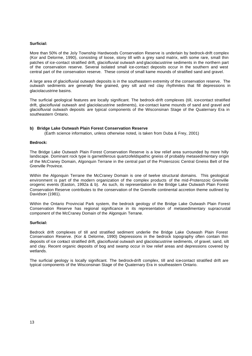#### **Surficial:**

More than 50% of the Joly Township Hardwoods Conservation Reserve is underlain by bedrock-drift complex (Kor and Delorme, 1990), consisting of loose, stony till with a grey sand matrix, with some rare, small thin patches of ice-contact stratified drift, glaciofluvial outwash and glaciolacustrine sediments in the northern part of the conservation reserve. Several isolated small ice-contact deposits occur in the southern and west central part of the conservation reserve. These consist of small kame mounds of stratified sand and gravel.

A large area of glaciofluvial outwash deposits is in the southeastern extremity of the conservation reserve. The outwash sediments are generally fine grained, grey silt and red clay rhythmites that fill depressions in glaciolacustrine basins.

The surficial geological features are locally significant. The bedrock-drift complexes (till, ice-contact stratified drift, glaciofluvial outwash and glaciolacustrine sediments), ice-contact kame mounds of sand and gravel and glaciofluvial outwash deposits are typical components of the Wisconsinan Stage of the Quaternary Era in southeastern Ontario.

#### **b) Bridge Lake Outwash Plain Forest Conservation Reserve**

(Earth science information, unless otherwise noted, is taken from Duba & Frey, 2001)

#### **Bedrock:**

The Bridge Lake Outwash Plain Forest Conservation Reserve is a low relief area surrounded by more hilly landscape. Dominant rock type is garnetiferous quartzofeldspathic gneiss of probably metasedimentary origin of the McCraney Domain, Algonquin Terrane in the central part of the Proterozoic Central Gneiss Belt of the Grenville Province.

Within the Algonquin Terrane the McCraney Domain is one of twelve structural domains. This geological environment is part of the modern organization of the complex products of the mid-Proterozoic Grenville orogenic events (Easton, 1992a & b). As such, its representation in the Bridge Lake Outwash Plain Forest Conservation Reserve contributes to the conservation of the Grenville continental accretion theme outlined by Davidson (1981).

Within the Ontario Provincial Park system, the bedrock geology of the Bridge Lake Outwash Plain Forest Conservation Reserve has regional significance in its representation of metasedimentary supracrustal component of the McCraney Domain of the Algonquin Terrane.

#### **Surficial:**

Bedrock drift complexes of till and stratified sediment underlie the Bridge Lake Outwash Plain Forest Conservation Reserve. (Kor & Delorme, 1990) Depressions in the bedrock topography often contain thin deposits of ice contact stratified drift, glaciofluvial outwash and glaciolacustrine sediments, of gravel, sand, silt and clay. Recent organic deposits of bog and swamp occur in low relief areas and depressions covered by wetlands.

The surficial geology is locally significant. The bedrock-drift complex, till and ice-contact stratified drift are typical components of the Wisconsinan Stage of the Quaternary Era in southeastern Ontario.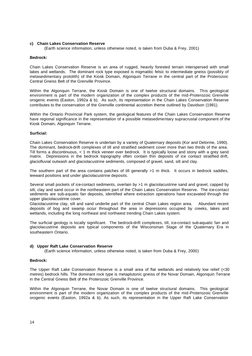#### **c) Chain Lakes Conservation Reserve**

(Earth science information, unless otherwise noted, is taken from Duba & Frey, 2001)

#### **Bedrock:**

Chain Lakes Conservation Reserve is an area of rugged, heavily forested terrain interspersed with small lakes and wetlands. The dominant rock type exposed is migmatitic felsic to intermediate gneiss (possibly of metasedimentary protolith) of the Kiosk Domain, Algonquin Terrane in the central part of the Proterozoic Central Gneiss Belt of the Grenville Province.

Within the Algonquin Terrane, the Kiosk Domain is one of twelve structural domains. This geological environment is part of the modern organization of the complex products of the mid-Proterozoic Grenville orogenic events (Easton, 1992a & b). As such, its representation in the Chain Lakes Conservation Reserve contributes to the conservation of the Grenville continental accretion theme outlined by Davidson (1981).

Within the Ontario Provincial Park system, the geological features of the Chain Lakes Conservation Reserve have regional significance in the representation of a possible metasedimentary supracrustal component of the Kiosk Domain, Algonquin Terrane.

#### **Surficial:**

Chain Lakes Conservation Reserve is underlain by a variety of Quaternary deposits (Kor and Delorme, 1990). The dominant, bedrock-drift complexes of till and stratified sediment cover more than two thirds of the area. Till forms a discontinuous, < 1 m thick veneer over bedrock. It is typically loose and stony with a grey sand matrix. Depressions in the bedrock topography often contain thin deposits of ice contact stratified drift, glaciofluvial outwash and glaciolacustrine sediments, composed of gravel, sand, silt and clay.

The southern part of the area contains patches of till generally >1 m thick. It occurs in bedrock saddles, leeward positions and under glaciolacustrine deposits.

Several small pockets of ice-contact sediments, overlain by >1 m glaciolacustrine sand and gravel, capped by silt, clay and sand occur in the northeastern part of the Chain Lakes Conservation Reserve. The ice-contact sediments are sub-aquatic fan deposits, identified where extraction operations have excavated through the upper glaciolacustrine cover.

Glaciolacustrine clay, silt and sand underlie part of the central Chain Lakes region area. Abundant recent deposits of bog and swamp occur throughout the area in depressions occupied by creeks, lakes and wetlands, including the long northeast and northwest trending Chain Lakes system.

The surficial geology is locally significant. The bedrock-drift complexes, till, ice-contact sub-aquatic fan and glaciolacustrine deposits are typical components of the Wisconsinan Stage of the Quaternary Era in southeastern Ontario.

#### **d) Upper Raft Lake Conservation Reserve**

(Earth science information, unless otherwise noted, is taken from Duba & Frey, 2000)

#### **Bedrock:**

The Upper Raft Lake Conservation Reserve is a small area of flat wetlands and relatively low relief (<30 metres) bedrock hills. The dominant rock type is metaplutonic gneiss of the Novar Domain, Algonquin Terrane in the Central Gneiss Belt of the Proterozoic Grenville Province.

Within the Algonquin Terrane, the Novar Domain is one of twelve structural domains. This geological environment is part of the modern organization of the complex products of the mid-Proterozoic Grenville orogenic events (Easton, 1992a & b). As such, its representation in the Upper Raft Lake Conservation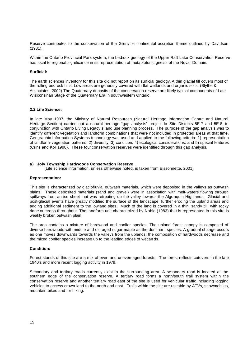Reserve contributes to the conservation of the Grenville continental accretion theme outlined by Davidson (1981).

Within the Ontario Provincial Park system, the bedrock geology of the Upper Raft Lake Conservation Reserve has local to regional significance in its representation of metaplutonic gneiss of the Novar Domain.

#### **Surficial:**

The earth sciences inventory for this site did not report on its surficial geology. A thin glacial till covers most of the rolling bedrock hills. Low areas are generally covered with flat wetlands and organic soils. (Blythe & Associates, 2002) The Quaternary deposits of the conservation reserve are likely typical components of Late Wisconsinan Stage of the Quaternary Era in southwestern Ontario.

#### **2.2 Life Science:**

In late May 1997, the Ministry of Natural Resources (Natural Heritage Information Centre and Natural Heritage Section) carried out a natural heritage "gap analysis" project br Site Districts 5E-7 and 5E-8, in conjunction with Ontario Living Legacy's land use planning process. The purpose of the gap analysis was to identify different vegetation and landform combinations that were not included in protected areas at that time. Geographic Information Systems technology was used and applied to the following criteria: 1) representation of landform-vegetation patterns; 2) diversity; 3) condition; 4) ecological considerations; and 5) special features (Crins and Kor 1998). These four conservation reserves were identified through this gap analysis.

#### **a) Joly Township Hardwoods Conservation Reserve**

(Life science information, unless otherwise noted, is taken from Bissonnette, 2001)

#### **Representation:**

This site is characterized by glaciofluvial outwash materials, which were deposited in the valleys as outwash plains. These deposited materials (sand and gravel) were in association with melt-waters flowing through spillways from an ice sheet that was retreating up the valley towards the Algonquin Highlands. Glacial and post-glacial events have greatly modified the surface of the landscape, further eroding the upland areas and adding additional sediment to the lowland sites. Much of the land is covered in a thin, sandy till, with rocky ridge outcrops throughout. The landform unit characterized by Noble (1983) that is represented in this site is weakly broken outwash plain.

The area contains a mixture of hardwood and conifer species. The upland forest canopy is composed of diverse hardwoods with middle and old aged sugar maple as the dominant species. A gradual change occurs as one moves downwards towards the valleys from the uplands; the composition of hardwoods decrease and the mixed conifer species increase up to the leading edges of wetlan ds.

#### **Condition:**

Forest stands of this site are a mix of even and uneven-aged forests. The forest reflects cutovers in the late 1940's and more recent logging activity in 1979.

Secondary and tertiary roads currently exist in the surrounding area. A secondary road is located at the southern edge of the conservation reserve. A tertiary road forms a north/south trail system within the conservation reserve and another tertiary road east of the site is used for vehicular traffic including logging vehicles to access crown land to the north and east. Trails within the site are useable by ATVs, snowmobiles, mountain bikes and for hiking.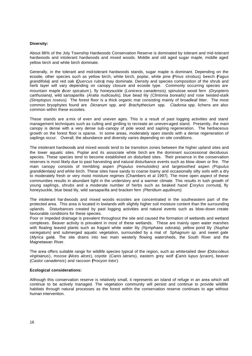#### **Diversity:**

About 86% of the Joly Township Hardwoods Conservation Reserve is dominated by tolerant and mid-tolerant hardwoods and intolerant hardwoods and mixed woods. Middle and old aged sugar maple, middle aged yellow birch and white birch dominate.

Generally, in the tolerant and mid-tolerant hardwoods stands, sugar maple is dominant. Depending on the ecosite, other species such as yellow birch, white birch, poplar, white pine (*Pinus strobus)*, beech (*Fagus grandifolia*) and red oak (*Quercus rubra*) may dominate. Density and species composition of the shrub and herb layer will vary depending on canopy closure and ecosite type. Commonly occurring species are mountain maple (*Acer spicatum* ), fly honeysuckle *(Lonicera canadensis)*, spinulose wood fern *(Dryopteris carthusiana)*, wild sarsaparilla *(Aralia nudicaulis)*, blue bead lily *(Clintonia borealis)* and rose twisted-stalk *(Streptopus roseus)*. The forest floor is a thick organic mat consisting mainly of broadleaf litter. The most common bryophytes found are *Dicranum* spp. and *Brachythecium* spp. *Cladonia* spp. lichens are also common within these ecosites.

These stands are a mix of even and uneven ages. This is a result of past logging activities and stand management techniques such as culling and girdling to recreate an uneven-aged stand. Presently, the main canopy is dense with a very dense sub -canopy of pole wood and sapling regeneration. The herbaceous growth on the forest floor is sparse. In some areas, moderately open stands with a dense regeneration of saplings occur. Overall, the abundance and diversity varies depending on site conditions.

The intolerant hardwoods and mixed woods tend to be transition zones between the higher upland sites and the lower aquatic sites. Poplar and its associate white birch are the dominant successional deciduous species. These species tend to become established on disturbed sites. Their presence in the conservation reserves is most likely due to past harvesting and natural disturbance events such as blow -down or fire. The main canopy consists of trembling aspen *(Populus tremuloides)* and largetoothed aspen *(Populus grandidentata)* and white birch. These sites have sandy to coarse loamy and occasionally silty soils with a dry to moderately fresh or very moist moisture regimes (Chambers et al 1997). The more open aspect of these communities results in abundant light in the understory and a warmer climate. This results in lush growth of young saplings, shrubs and a moderate number of herbs such as beaked hazel (*Corylus cornuta*), fly honeysuckle, blue bead lily, wild sarsaparilla and bracken fern *(Pteridium aquilinum).* 

The intolerant har dwoods and mixed woods ecosites are concentrated in the southeastern part of the protected area. This area is located in lowlands with slightly higher soil moisture content than the surrounding uplands. Disturbances created by past logging activities and natural events such as blow-down create favourable conditions for these species.

Poor or impeded drainage is prevalent throughout the site and caused the formation of wetlands and wetland complexes. Beaver activity is prevalent in most of these wetlands. These are mainly open water marshes with floating leaved plants such as fragant white water lily *(Nymphaea odorata)*, yellow pond lily *(Nuphar variegatum)* and submerged aquatic vegetation, surrounded by a mat of *Sphagnum sp.* and sweet gale (*Myrica gale*). The site drains into two main westerly flowing watersheds, the South River and the Magnetawan River.

The area offers suitable range for wildlife species typical of the region, such as white-tailed deer (*Odocoileus virginianus*), moose (*Alces alces*), coyote (*Canis latr*ans), eastern grey wolf (*Canis lupus lycaon*), beaver (*Castor canadensis*) and raccoon (*Procyon lotor*).

#### **Ecological considerations:**

Although this conservation reserve is relatively small, it represents an island of refuge in an area which will continue to be actively managed. The vegetation community will persist and continue to provide wildlife habitats through natural processes as the forest within the conservation reserve continues to age without human intervention.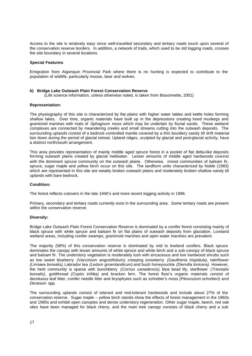Access to the site is relatively easy since well-travelled secondary and tertiary roads touch upon several of the conservation reserve borders. In addition, a network of trails, which used to be old logging roads, crosses the site boundary in several locations.

#### **Special Features:**

Emigration from Algonquin Provincial Park where there is no hunting is expected to contribute to the population of wildlife, particularly moose, bear and wolves.

#### **b) Bridge Lake Outwash Plain Forest Conservation Reserve**

(Life science information, unless otherwise noted, is taken from Bissonnette, 2001)

#### **Representation:**

The physiography of this site is characterized by flat plains with higher water tables and kettle holes forming shallow lakes. Over time, organic materials have built up in the depressions creating treed muskegs and graminoid marshes with mats of *Sphagnum* moss which may be underlain by fluvial sands. These wetland complexes are connected by meandering creeks and small streams cutting into the outwash deposits. The surrounding uplands consist of a bedrock-controlled mantle covered by a thin bouldery sandy till drift material lain down during the period of glacial retreat. Upland ridges, sculpted by glacial and post-glacial activity, have a distinct north/south arrangement.

This area provides representation of mainly middle aged spruce forest in a pocket of flat delta-like deposits forming outwash plains created by glacial meltwater. Lesser amounts of middle aged hardwoods co-exist with the dominant spruce community on the outwash plains. Otherwise, mixed communities of balsam fir, spruce, sugar maple and yellow birch occur on this site. The landform units characterized by Noble (1983) which are represented in this site are weakly broken outwash plains and moderately broken shallow sandy till uplands with bare bedrock.

#### **Condition:**

The forest reflects cutovers in the late 1940's and more recent logging activity in 1996.

Primary, secondary and tertiary roads currently exist in the surrounding area. Some tertiary roads are present within the conservation reserve.

#### **Diversity:**

Bridge Lake Outwash Plain Forest Conservation Reserve is dominated by a conifer forest consisting mainly of black spruce with white spruce and balsam fir on flat plains of outwash deposits from glaciation. Lowland wetland areas, including conifer swamps, graminoid marshes and open water marshes are prevalent.

The majority (58%) of this conservation reserve is dominated by mid to lowland conifers. Black spruce dominates the canopy with lesser amounts of white spruce and white birch and a sub-canopy of black spruce and balsam fir. The understory vegetation is moderately lush with ericaceous and low hardwood shrubs such as low sweet blueberry *(Vaccinium angustifolium)*, creeping snowberry *(Gaultheria hispidula)*, twinflower *(Linnaea borealis)*, Labrador tea *(Ledum groenlandicum)* and bush honeysuckle *(Diervilla lonicera)*. However, the herb community is sparse with bunchberry *(Cornus canadensis)*, blue bead lily, starflower *(Trientalis borealis)*, goldthread *(Coptis trifolia)* and bracken fern. The forest floor's organic materials consist of deciduous leaf litter, conifer needle litter and bryophytes such as schreber's moss *(Pleurozium schreberi)* and *Dicranum* spp.

The surrounding uplands consist of tolerant and mid-tolerant hardwoods and include about 27% of the conservation reserve. Sugar maple – yellow birch stands show the effects of forest management in the 1960s and 1980s and exhibit open canopies and dense understory regeneration. Other sugar maple, beech, red oak sites have been managed for black cherry, and the main tree canopy consists of black cherry and a sub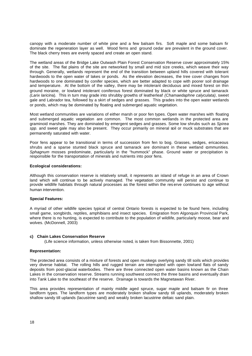canopy with a moderate number of white pine and a few balsam firs. Soft maple and some balsam fir dominate the regeneration layer as well. Wood ferns and ground cedar are prevalent in the ground cover. The black cherry trees are evenly spaced and create an open stand.

The wetland areas of the Bridge Lake Outwash Plain Forest Conservation Reserve cover approximately 15% of the site. The flat plains of the site are networked by small and mid size creeks, which weave their way through. Generally, wetlands represent the end of the transition between upland hills covered with tolerant hardwoods to the open water of lakes or ponds. As the elevation decreases, the tree cover changes from hardwoods to one dominated by conifer species, which are better adapted to cope with poorer soil drainage and temperature. At the bottom of the valley, there may be intolerant deciduous and mixed forest on thin ground moraine, or lowland intolerant coniferous forest dominated by black or white spruce and tamarack *(Larix laricin*a). This in turn may grade into shrubby growths of leatherleaf *(Chamaedaphne calyculata)*, sweet gale and Labrador tea, followed by a skirt of sedges and grasses. This grades into the open water wetlands or ponds, which may be dominated by floating and submerged aquatic vegetation.

Most wetland communities are variations of either marsh or poor fen types. Open water marshes with floating and submerged aquatic vegetation are common. The most common wetlands in the protected area are graminoid marshes. They are dominated by emergent sedges and grasses. Some low shrubs such as *Spirea spp.* and sweet gale may also be present. They occur primarily on mineral soil or muck substrates that are permanently saturated with water.

Poor fens appear to be transitional in terms of succession from fen to bog. Grasses, sedges, ericaceous shrubs and a sparse stunted black spruce and tamarack are dominant in these wetland communities. *Sphagnum* mosses predominate, particularly in the "hummock" phase. Ground water or precipitation is responsible for the transportation of minerals and nutrients into poor fens.

#### **Ecological considerations:**

Although this conservation reserve is relatively small, it represents an island of refuge in an area of Crown land which will continue to be actively managed. The vegetation community will persist and continue to provide wildlife habitats through natural processes as the forest within the res erve continues to age without human intervention.

#### **Special Features:**

A myriad of other wildlife species typical of central Ontario forests is expected to be found here, including small game, songbirds, reptiles, amphibians and insect species. Emigration from Algonquin Provincial Park, where there is no hunting, is expected to contribute to the population of wildlife, particularly moose, bear and wolves. (McDonnell, 2003)

#### **c) Chain Lakes Conservation Reserve**

(Life science information, unless otherwise noted, is taken from Bissonnette, 2001)

#### **Representation:**

The protected area consists of a mixture of forests and open muskegs overlying sandy till soils which provides very diverse habitat. The rolling hills and rugged terrain are interrupted with open lowland flats of sandy deposits from post-glacial waterbodies. There are three connected open water basins known as the Chain Lakes in the conservation reserve. Streams running southwest connect the three basins and eventually drain into Tank Lake to the southeast of the reserve. Drainage is towards the Magnetawan River.

This area provides representation of mainly middle aged spruce, sugar maple and balsam fir on three landform types. The landform types are moderately broken shallow sandy till uplands, moderately broken shallow sandy till uplands (lacustrine sand) and weakly broken lacustrine deltaic sand plain.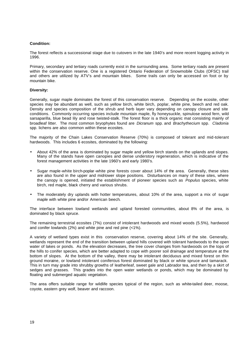#### **Condition:**

The forest reflects a successional stage due to cutovers in the late 1940's and more recent logging activity in 1996.

Primary, secondary and tertiary roads currently exist in the surrounding area. Some tertiary roads are present within the conservation reserve. One is a registered Ontario Federation of Snowmobile Clubs (OFSC) trail and others are utilized by ATV's and mountain bikes. Some trails can only be accessed on foot or by mountain bike.

#### **Diversity:**

Generally, sugar maple dominates the forest of this conservation reserve. Depending on the ecosite, other species may be abundant as well, such as yellow birch, white birch, poplar, white pine, beech and red oak. Density and species composition of the shrub and herb layer vary depending on canopy closure and site conditions. Commonly occurring species include mountain maple, fly honeysuckle, spinulose wood fern, wild sarsaparilla, blue bead lily and rose twisted-stalk. The forest floor is a thick organic mat consisting mainly of broadleaf litter. The most common bryophytes found are *Dicranum* spp. and *Brachythecium* spp. *Cladonia* spp. lichens are also common within these ecosites.

The majority of the Chain Lakes Conservation Reserve (70%) is composed of tolerant and mid-tolerant hardwoods. This includes 6 ecosites, dominated by the following:

- About 42% of the area is dominated by sugar maple and yellow birch stands on the uplands and slopes. Many of the stands have open canopies and dense understory regeneration, which is indicative of the forest management activities in the late 1960's and early 1980's.
- Sugar maple-white birch-poplar-white pine forests cover about 14% of the area. Generally, these sites are also found in the upper and mid-lower slope positions. Disturbances on many of these sites, where the canopy is opened, initiated the establishment of pioneer species such as *Populus* species, white birch, red maple, black cherry and various shrubs.
- The moderately dry uplands with hotter temperatures, about 10% of the area, support a mix of sugar maple with white pine and/or American beech.

The interface between lowland wetlands and upland forested communities, about 8% of the area, is dominated by black spruce.

The remaining terrestrial ecosites (7%) consist of intolerant hardwoods and mixed woods (5.5%), hardwood and conifer lowlands (2%) and white pine and red pine (<1%).

A variety of wetland types exist in this conservation reserve, covering about 14% of the site. Generally, wetlands represent the end of the transition between upland hills covered with tolerant hardwoods to the open water of lakes or ponds. As the elevation decreases, the tree cover changes from hardwoods on the tops of the hills to conifer species, which are better adapted to cope with poorer soil drainage and temperature at the bottom of slopes. At the bottom of the valley, there may be intolerant deciduous and mixed forest on thin ground moraine, or lowland intolerant coniferous forest dominated by black or white spruce and tamarack. This in turn may grade into shrubby growths of leatherleaf, sweet gale and Labrador tea, and then by a skirt of sedges and grasses. This grades into the open water wetlands or ponds, which may be dominated by floating and submerged aquatic vegetation.

The area offers suitable range for wildlife species typical of the region, such as white-tailed deer, moose, coyote, eastern grey wolf, beaver and raccoon.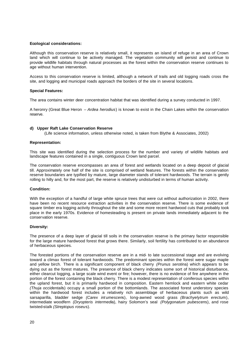#### **Ecological considerations:**

Although this conservation reserve is relatively small, it represents an island of refuge in an area of Crown land which will continue to be actively managed. The vegetation community will persist and continue to provide wildlife habitats through natural processes as the forest within the conservation reserve continues to age without human intervention.

Access to this conservation reserve is limited, although a network of trails and old logging roads cross the site, and logging and municipal roads approach the borders of the site in several locations.

#### **Special Features:**

The area contains winter deer concentration habitat that was identified during a survey conducted in 1997.

A heronry (Great Blue Heron – *Ardea herodius*) is known to exist in the Chain Lakes within the conservation reserve.

#### **d) Upper Raft Lake Conservation Reserve**

(Life science information, unless otherwise noted, is taken from Blythe & Associates, 2002)

#### **Representation:**

This site was identified during the selection process for the number and variety of wildlife habitats and landscape features contained in a single, contiguous Crown land parcel.

The conservation reserve encompasses an area of forest and wetlands located on a deep deposit of glacial till. Approximately one half of the site is comprised of wetland features. The forests within the conservation reserve boundaries are typified by mature, large diameter stands of tolerant hardwoods. The terrain is gently rolling to hilly and, for the most part, the reserve is relatively undisturbed in terms of human activity.

#### **Condition:**

With the exception of a handful of large white spruce trees that were cut without authorization in 2002, there have been no recent resource extraction activities in the conservation reserve. There is some evidence of square timber era logging activity throughout the site and some more recent hardwood cuts that probably took place in the early 1970s. Evidence of homesteading is present on private lands immediately adjacent to the conservation reserve.

#### **Diversity:**

The presence of a deep layer of glacial till soils in the conservation reserve is the primary factor responsible for the large mature hardwood forest that grows there. Similarly, soil fertility has contributed to an abundance of herbaceous species.

The forested portions of the conservation reserve are in a mid- to late successional stage and are evolving toward a climax forest of tolerant hardwoods. The predominant species within the forest were sugar maple and yellow birch. There is a significant component of black cherry *(Prunus serotin*a) which appears to be dying out as the forest matures. The presence of black cherry indicates some sort of historical disturbance, either clearcut logging, a large scale wind event or fire; however, there is no evidence of fire anywhere in the portion of the forest containing the black cherry. There is a modest representation of coniferous species within the upland forest, but it is primarily hardwood in composition. Eastern hemlock and eastern white cedar *(Thuja occidentali*s) occupy a small portion of the bottomlands. The associated forest understory species within the hardwood forest includes a relatively rich assemblage of herbaceous plants such as wild sarsaparilla, bladder sedge *(Carex int umescen*s), long-awned wood grass *(Brachyelytrum erectu*m), intermediate woodfern *(Dryopteris intermedi*a), hairy Solomon's seal *(Polygonatum pubescen*s), and rose twisted-stalk *(Streptopus roseu*s).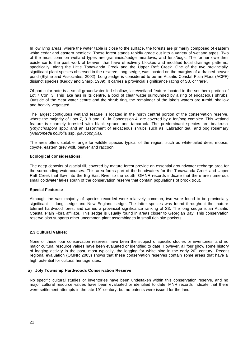In low lying areas, where the water table is close to the surface, the forests are primarily composed of eastern white cedar and eastern hemlock. These forest stands rapidly grade out into a variety of wetland types. Two of the most common wetland types are graminoid/sedge meadows, and fens/bogs. The former owe their existence to the past work of beaver, that have effectively blocked and modified local drainage patterns, specifically, along the Little Tonawanda Creek and the Upper Raft Creek. One of the two provincially significant plant species observed in the res erve, long sedge, was located on the margins of a drained beaver pond (Blythe and Associates, 2002). Long sedge is considered to be an Atlantic Coastal Plain Flora (ACPF) disjunct species (Keddy and Sharp, 1989). It carries a provincial significance rating of S3, or "rare".

Of particular note is a small groundwater-fed shallow, lake/wetland feature located in the southern portion of Lot 7 Con. 3. This lake has in its centre, a pool of clear water surrounded by a ring of ericaceous shrubs. Outside of the clear water centre and the shrub ring, the remainder of the lake's waters are turbid, shallow and heavily vegetated.

The largest contiguous wetland feature is located in the north central portion of the conservation reserve, where the majority of Lots 7, 8, 9 and 10, in Concession 4, are covered by a fen/bog complex. This wetland feature is sparsely forested with black spruce and tamarack. The predominant species are beakrush *(Rhynchospora* spp.) and an assortment of ericaceous shrubs such as, Labrador tea, and bog rosemary *(Andromeda polifolia* ssp. *glaucophyll*a).

The area offers suitable range for wildlife species typical of the region, such as white-tailed deer, moose, coyote, eastern grey wolf, beaver and raccoon.

#### **Ecological considerations:**

The deep deposits of glacial till, covered by mature forest provide an essential groundwater recharge area for the surrounding watercourses. This area forms part of the headwaters for the Tonawanda Creek and Upper Raft Creek that flow into the Big East River to the south. OMNR records indicate that there are numerous small coldwater lakes south of the conservation reserve that contain populations of brook trout.

#### **Special Features:**

Although the vast majority of species recorded were relatively common, two were found to be provincially significant — long sedge and New England sedge. The latter species was found throughout the mature tolerant hardwood forest and carries a provincial significance ranking of S3. The long sedge is an Atlantic Coastal Plain Flora affiliate. This sedge is usually found in areas closer to Georgian Bay. This conservation reserve also supports other uncommon plant assemblages in small rich site pockets.

#### **2.3 Cultural Values:**

None of these four conservation reserves have been the subject of specific studies or inventories, and no major cultural resource values have been evaluated or identified to date. However, all four show some history of logging activity in the past, most typically, the logging for white pine in the early 20<sup>th</sup> century. Recent regional evaluation (OMNR 2003) shows that these conservation reserves contain some areas that have a high potential for cultural heritage sites.

#### **a) Joly Township Hardwoods Conservation Reserve**

No specific cultural studies or inventories have been undertaken within this conservation reserve, and no major cultural resource values have been evaluated or identified to date. MNR records indicate that there were settlement attempts in the late  $19<sup>th</sup>$  century, but no patents were issued for the land.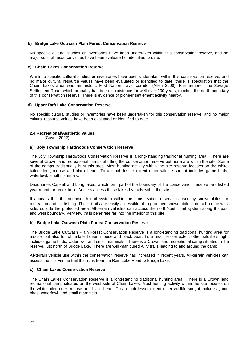#### **b) Bridge Lake Outwash Plain Forest Conservation Reserve**

No specific cultural studies or inventories have been undertaken within this conservation reserve, and no major cultural resource values have been evaluated or identified to date.

#### **c) Chain Lakes Conservation Reserve**

While no specific cultural studies or inventories have been undertaken within this conservation reserve, and no major cultural resource values have been evaluated or identified to date, there is speculation that the Chain Lakes area was an historic First Nation travel corridor (Allen 2000). Furthermore, the Savage Settlement Road, which probably has been in existence for well over 100 years, touches the north boundary of this conservation reserve. There is evidence of pioneer settlement activity nearby.

#### **d) Upper Raft Lake Conservation Reserve**

No specific cultural studies or inventories have been undertaken for this conservation reserve, and no major cultural resource values have been evaluated or identified to date.

#### **2.4 Recreational/Aesthetic Values:**

(Gavel, 2002)

#### **a) Joly Township Hardwoods Conservation Reserve**

The Joly Township Hardwoods Conservation Reserve is a long-standing traditional hunting area. There are several Crown land recreational camps abutting the conservation reserve but none are within the site. Some of the camps traditionally hunt this area. Most hunting activity within the site reserve focuses on the whitetailed deer, moose and black bear. To a much lesser extent other wildlife sought includes game birds, waterfowl, small mammals.

Deadhorse, Capsell and Long lakes, which form part of the boundary of the conservation reserve, are fished year round for brook trout. Anglers access these lakes by trails within the site.

It appears that the north/south trail system within the conservation reserve is used by snowmobiles for recreation and ice fishing. These trails are easily accessible off a groomed snowmobile club trail on the west side, outside the protected area. All-terrain vehicles can access the north/south trail system along the east and west boundary. Very few trails penetrate far into the interior of this site.

#### **b) Bridge Lake Outwash Plain Forest Conservation Reserve**

The Bridge Lake Outwash Plain Forest Conservation Reserve is a long-standing traditional hunting area for moose, but also for white-tailed deer, moose and black bear. To a much lesser extent other wildlife sought includes game birds, waterfowl, and small mammals. There is a Crown land recreational camp situated in the reserve, just north of Bridge Lake. There are well-manicured ATV trails leading to and around the camp.

All-terrain vehicle use within the conservation reserve has increased in recent years. All-terrain vehicles can access the site via the trail that runs from the Rain Lake Road to Bridge Lake.

#### **c) Chain Lakes Conservation Reserve**

The Chain Lakes Conservation Reserve is a long-standing traditional hunting area. There is a Crown land recreational camp situated on the west side of Chain Lakes. Most hunting activity within the site focuses on the white-tailed deer, moose and black bear. To a much lesser extent other wildlife sought includes game birds, waterfowl, and small mammals.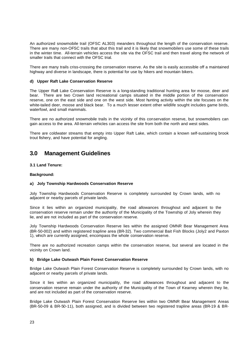An authorized snowmobile trail (OFSC AL303) meanders throughout the length of the conservation reserve. There are many non-OFSC trails that abut this trail and it is likely that snowmobilers use some of these trails in the winter time. All-terrain vehicles access the site via the OFSC trail and then travel along the network of smaller trails that connect with the OFSC trial.

There are many trails criss-crossing the conservation reserve. As the site is easily accessible off a maintained highway and diverse in landscape, there is potential for use by hikers and mountain bikers.

#### **d) Upper Raft Lake Conservation Reserve**

The Upper Raft Lake Conservation Reserve is a long-standing traditional hunting area for moose, deer and bear. There are two Crown land recreational camps situated in the middle portion of the conservation reserve, one on the east side and one on the west side. Most hunting activity within the site focuses on the white-tailed deer, moose and black bear. To a much lesser extent other wildlife sought includes game birds, waterfowl, and small mammals.

There are no authorized snowmobile trails in the vicinity of this conservation reserve, but snowmobilers can gain access to the area. All-terrain vehicles can access the site from both the north and west sides.

There are coldwater streams that empty into Upper Raft Lake, which contain a known self-sustaining brook trout fishery, and have potential for angling.

### **3.0 Management Guidelines**

#### **3.1 Land Tenure:**

#### **Background:**

#### **a) Joly Township Hardwoods Conservation Reserve**

Joly Township Hardwoods Conservation Reserve is completely surrounded by Crown lands, with no adjacent or nearby parcels of private lands.

Since it lies within an organized municipality, the road allowances throughout and adjacent to the conservation reserve remain under the authority of the Municipality of the Township of Joly wherein they lie, and are not included as part of the conservation reserve.

Joly Township Hardwoods Conservation Reserve lies within the assigned OMNR Bear Management Area (BR-50-002) and within registered trapline area (BR-32). Two commercial Bait Fish Blocks (Joly2 and Paxton 1), which are currently assigned, encompass the whole conservation reserve.

There are no authorized recreation camps within the conservation reserve, but several are located in the vicinity on Crown land.

#### **b) Bridge Lake Outwash Plain Forest Conservation Reserve**

Bridge Lake Outwash Plain Forest Conservation Reserve is completely surrounded by Crown lands, with no adjacent or nearby parcels of private lands.

Since it lies within an organized municipality, the road allowances throughout and adjacent to the conservation reserve remain under the authority of the Municipality of the Town of Kearney wherein they lie, and are not included as part of the conservation reserve.

Bridge Lake Outwash Plain Forest Conservation Reserve lies within two OMNR Bear Management Areas (BR-50-09 & BR-50-11), both assigned, and is divided between two registered trapline areas (BR-19 & BR-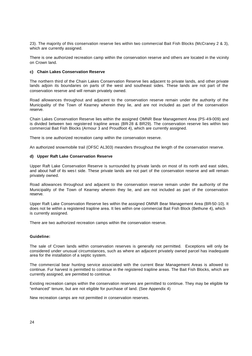23). The majority of this conservation reserve lies within two commercial Bait Fish Blocks (McCraney 2 & 3), which are currently assigned.

There is one authorized recreation camp within the conservation reserve and others are located in the vicinity on Crown land.

#### **c) Chain Lakes Conservation Reserve**

The northern third of the Chain Lakes Conservation Reserve lies adjacent to private lands, and other private lands adjoin its boundaries on parts of the west and southeast sides. These lands are not part of the conservation reserve and will remain privately owned.

Road allowances throughout and adjacent to the conservation reserve remain under the authority of the Municipality of the Town of Kearney wherein they lie, and are not included as part of the conservation reserve.

Chain Lakes Conservation Reserve lies within the assigned OMNR Bear Management Area (PS-49-009) and is divided between two registered trapline areas (BR-28 & BR29). The conservation reserve lies within two commercial Bait Fish Blocks (Armour 3 and Proudfoot 4), which are currently assigned.

There is one authorized recreation camp within the conservation reserve.

An authorized snowmobile trail (OFSC AL303) meanders throughout the length of the conservation reserve.

#### **d) Upper Raft Lake Conservation Reserve**

Upper Raft Lake Conservation Reserve is surrounded by private lands on most of its north and east sides, and about half of its west side. These private lands are not part of the conservation reserve and will remain privately owned.

Road allowances throughout and adjacent to the conservation reserve remain under the authority of the Municipality of the Town of Kearney wherein they lie, and are not included as part of the conservation reserve.

Upper Raft Lake Conservation Reserve lies within the assigned OMNR Bear Management Area (BR-50-10). It does not lie within a registered trapline area. It lies within one commercial Bait Fish Block (Bethune 4), which is currently assigned.

There are two authorized recreation camps within the conservation reserve.

#### **Guideline:**

The sale of Crown lands within conservation reserves is generally not permitted. Exceptions will only be considered under unusual circumstances, such as where an adjacent privately owned parcel has inadequate area for the installation of a septic system.

The commercial bear hunting service associated with the current Bear Management Areas is allowed to continue. Fur harvest is permitted to continue in the registered trapline areas. The Bait Fish Blocks, which are currently assigned, are permitted to continue.

Existing recreation camps within the conservation reserves are permitted to continue. They may be eligible for "enhanced" tenure, but are not eligible for purchase of land. (See Appendix 4)

New recreation camps are not permitted in conservation reserves.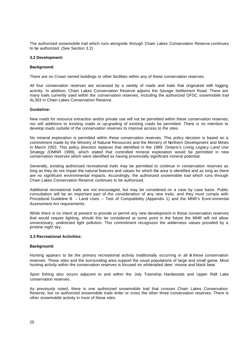The authorized snowmobile trail which runs alongside through Chain Lakes Conservation Reserve continues to be authorized. (See Section 3.2)

#### **3.2 Development:**

#### **Background:**

There are no Crown owned buildings or other facilities within any of these conservation reserves.

All four conservation reserves are accessed by a variety of roads and trails that originated with logging activity. In addition, Chain Lakes Conservation Reserve adjoins the Savage Settlement Road. There are many trails currently used within the conservation reserves, including the authorized OFSC snowmobile trail AL303 in Chain Lakes Conservation Reserve.

#### **Guideline:**

New roads for resource extraction and/or private use will not be permitted within these conservation reserves, nor will additions to existing roads or up-grading of existing roads be permitted. There is no intention to develop roads outside of the conservation reserves to improve access to the sites.

No mineral exploration is permitted within these conservation reserves. This policy decision is based on a commitment made by the Ministry of Natural Resources and the Ministry of Northern Development and Mines in March 2002. This policy direction replaces that identified in the 1999 *Ontario's Living Legacy Land Use Strategy (*OMNR 1999), which stated that controlled mineral exploration would be permitted in new conservation reserves which were identified as having provincially significant mineral potential.

Generally, existing authorized recreational trails may be permitted to continue in conservation reserves as long as they do not impair the natural features and values for which the area is identified and as long as there are no significant environmental impacts. Accordingly, the authorized snowmobile trail which runs through Chain Lakes Conservation Reserve continues to be authorized.

Additional recreational trails are not encouraged, but may be considered on a case by case basis. Public consultation will be an important part of the consideration of any new trails, and they must comply with Procedural Guideline B – Land Uses – Test of Compatibility (Appendix 1) and the MNR's Envir onmental Assessment Act requirements.

While there is no intent at present to provide or permit any new development in these conservation reserves that would require lighting, should this be considered at some point in the future the MNR will not allow unnecessary, undirected light pollution. This commitment recognizes the wilderness values provided by a pristine night sky.

#### **3.3 Recreational Activities:**

#### **Background:**

Hunting appears to be the primary recreational activity traditionally occurring in all  $\phi$  these conservation reserves. These sites and the surrounding area support the usual populations of large and small game. Most hunting activity within the conservation reserves is focused on white-tailed deer, moose and black bear.

Sport fishing also occurs adjacent to and within the Joly Township Hardwoods and Upper Raft Lake conservation reserves.

As previously noted, there is one authorized snowmobile trail that crosses Chain Lakes Conservation Reserve, but no authorized snowmobile trails enter or cross the other three conservation reserves. There is other snowmobile activity in most of these sites.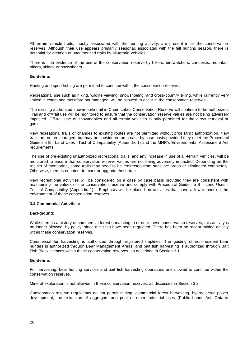All-terrain vehicle trails, mostly associated with the hunting activity, are present in all the conservation reserves. Although their use appears primarily seasonal, associated with the fall hunting season, there is potential for creation of unauthorized trails by all-terrain vehicles.

There is little evidence of the use of the conservation reserve by hikers, birdwatchers, canoeists, mountain bikers, skiers, or snowshoers.

#### **Guideline:**

Hunting and sport fishing are permitted to continue within the conservation reserves.

Recreational use such as hiking, wildlife viewing, snowshoeing, and cross-country skiing, while currently very limited in extent and ther efore not managed, will be allowed to occur in the conservation reserves.

The existing authorized snowmobile trail in Chain Lakes Conservation Reserve will continue to be authorized. Trail and off-trail use will be monitored to ensure that the conservation reserve values are not being adversely impacted. Off-trail use of snowmobiles and all-terrain vehicles is only permitted for the direct retrieval of game.

New recreational trails or changes to existing routes are not permitted without prior MNR authorization. New trails are not encouraged, but may be considered on a case by case basis provided they meet the Procedural Guideline B - Land Uses -Test of Compatibility (Appendix 1) and the MNR's Environmental Assessment Act requirements.

The use of pre-existing unauthorized recreational trails, and any increase in use of all-terrain vehicles, will be monitored to ensure that conservation reserve values are not being adversely impacted. Depending on the results of monitoring, some trails may need to be redirected from sensitive areas or eliminated completely. Otherwise, there is no intent to mark or upgrade these trails.

New recreational activities will be considered on a case by case basis provided they are consistent with maintaining the values of the conservation reserve and comply with Procedural Guideline B - Land Uses - Test of Compatibility (Appendix 1). Emphasis will be placed on activities that have a low impact on the environment of these conservation reserves.

#### **3.4 Commercial Activities:**

#### **Background:**

While there is a history of commercial forest harvesting in or near these conservation reserves, this activity is no longer allowed, by policy, since the sites have been regulated. There has been no recent mining activity within these conservation reserves.

Commercial fur harvesting is authorized through registered traplines. The guiding of non -resident bear hunters is authorized through Bear Management Areas, and bait fish harvesting is authorized through Bait Fish Block licences within these conservation reserves, as described in Section 3.1.

#### **Guideline:**

Fur harvesting, bear hunting services and bait fish harvesting operations are allowed to continue within the conservation reserves.

Mineral exploration is not allowed in these conservation reserves, as discussed in Section 3.2.

Conservation reserve regulations do not permit mining, commercial forest harvesting, hydroelectric power development, the extraction of aggregate and peat or other industrial uses (Public Lands Act, Ontario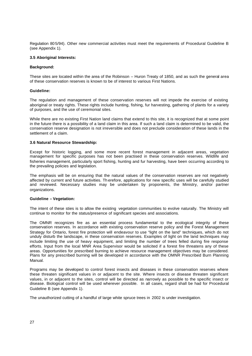Regulation 80 5/94). Other new commercial activities must meet the requirements of Procedural Guideline B (see Appendix 1).

#### **3.5 Aboriginal Interests:**

#### **Background:**

These sites are located within the area of the Robinson – Huron Treaty of 1850, and as such the general area of these conservation reserves is known to be of interest to various First Nations.

#### **Guideline:**

The regulation and management of these conservation reserves will not impede the exercise of existing aboriginal or treaty rights. These rights include hunting, fishing, fur harvesting, gathering of plants for a variety of purposes, and the use of ceremonial sites.

While there are no existing First Nation land claims that extend to this site, it is recognized that at some point in the future there is a possibility of a land claim in this area. If such a land claim is determined to be valid, the conservation reserve designation is not irreversible and does not preclude consideration of these lands in the settlement of a claim.

#### **3.6 Natural Resource Stewardship:**

Except for historic logging, and some more recent forest management in adjacent areas, vegetation management for specific purposes has not been practised in these conservation reserves. Wildlife and fisheries management, particularly sport fishing, hunting and fur harvesting, have been occurring according to the prevailing policies and legislation.

The emphasis will be on ensuring that the natural values of the conservation reserves are not negatively affected by current and future activities. Th erefore, applications for new specific uses will be carefully studied and reviewed. Necessary studies may be undertaken by proponents, the Ministry, and/or partner organizations.

#### **Guideline – Vegetation:**

The intent of these sties is to allow the existing vegetation communities to evolve naturally. The Ministry will continue to monitor for the status/presence of significant species and associations.

The OMNR recognizes fire as an essential process fundamental to the ecological integrity of these conservation reserves. In accordance with existing conservation reserve policy and the Forest Management Strategy for Ontario, forest fire protection will endeavour to use "light on the land" techniques, which do not unduly disturb the landscape, in these conservation reserves. Examples of light on the land techniques may include limiting the use of heavy equipment, and limiting the number of trees felled during fire response efforts. Input from the local MNR Area Supervisor would be solicited if a forest fire threatens any of these areas. Opportunities for prescribed burning to achieve resource management objectives may be considered. Plans for any prescribed burning will be developed in accordance with the OMNR Prescribed Burn Planning Manual.

Programs may be developed to control forest insects and diseases in these conservation reserves where these threaten significant values in or adjacent to the site. Where insects or disease threaten significant values, in or adjacent to the sites, control will be directed as narrowly as possible to the specific insect or disease. Biological control will be used wherever possible. In all cases, regard shall be had for Procedural Guideline B (see Appendix 1).

The unauthorized cutting of a handful of large white spruce trees in 2002 is under investigation.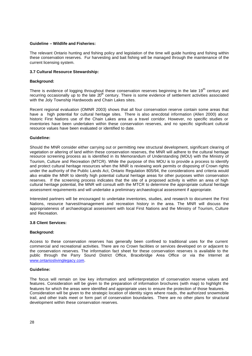#### **Guideline – Wildlife and Fisheries:**

The relevant Ontario hunting and fishing policy and legislation of the time will guide hunting and fishing within these conservation reserves. Fur harvesting and bait fishing will be managed through the maintenance of the current licensing system.

#### **3.7 Cultural Resource Stewardship:**

#### **Background:**

There is evidence of logging throughout these conservation reserves beginning in the late 19<sup>th</sup> century and recurring occasionally up to the late  $20^{\text{th}}$  century. There is some evidence of settlement activities associated with the Joly Township Hardwoods and Chain Lakes sites.

Recent regional evaluation (OMNR 2003) shows that all four conservation reserve contain some areas that have a high potential for cultural heritage sites. There is also anecdotal information (Allen 2000) about historic First Nations use of the Chain Lakes area as a travel corridor. However, no specific studies or inventories have been undertaken within these conservation reserves, and no specific significant cultural resource values have been evaluated or identified to date.

#### **Guideline:**

Should the MNR consider either carrying out or permitting new structural development, significant clearing of vegetation or altering of land within these conservation reserves, the MNR will adhere to the cultural heritage resource screening process as is identified in its Memorandum of Understanding (MOU) with the Ministry of Tourism, Culture and Recreation (MTCR). While the purpose of this MOU is to provide a process to identify and protect cultural heritage resources when the MNR is reviewing work permits or disposing of Crown rights under the authority of the Public Lands Act, Ontario Regulation 805/94, the considerations and criteria would also enable the MNR to identify high potential cultural heritage areas for other purposes within conservation reserves. If the screening process indicates that the site of a proposed activity is within an area of high cultural heritage potential, the MNR will consult with the MTCR to determine the appropriate cultural heritage assessment requirements and will undertake a preliminary archaeological assessment if appropriate.

Interested partners will be encouraged to undertake inventories, studies, and research to document the First Nations, resource harvest/management and recreation history in the area. The MNR will discuss the appropriateness of archaeological assessment with local First Nations and the Ministry of Tourism, Culture and Recreation.

#### **3.8 Client Services:**

#### **Background:**

Access to these conservation reserves has generally been confined to traditional uses for the current commercial and recreational activities. There are no Crown facilities or services developed on or adjacent to the conservation reserves. The information fact sheet for these conservation reserves is available to the public through the Parry Sound District Office, Bracebridge Area Office or via the Internet at www.ontarioslivinglegacy.com.

#### **Guideline:**

The focus will remain on low key information and self-interpretation of conservation reserve values and features. Consideration will be given to the preparation of information brochures (with map) to highlight the features for which the areas were identified and appropriate uses to ensure the protection of those features. Consideration will be given to the strategic location of identity signs where roads, the authorized snowmobile trail, and other trails meet or form part of conservation boundaries. There are no other plans for structural development within these conservation reserves.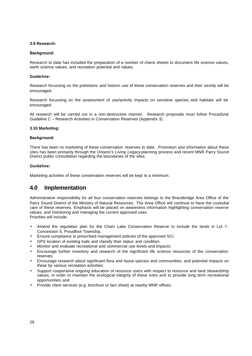#### **3.9 Research:**

#### **Background:**

Research to date has included the preparation of a number of check sheets to document life science values, earth science values, and recreation potential and values.

#### **Guideline:**

Research focussing on the prehistoric and historic use of these conservation reserves and their vicinity will be encouraged.

Research focussing on the assessment of use/activity impacts on sensitive species and habitats will be encouraged.

All research will be carried out in a non-destructive manner. Research proposals must follow Procedural Guideline C – Research Activities in Conservation Reserves (Appendix 3).

#### **3.10 Marketing:**

#### **Background:**

There has been no marketing of these conservation reserves to date. Promotion and information about these sites has been primarily through the *Ontario's Living Legacy* planning process and recent MNR Parry Sound District public consultation regarding the boundaries of the sites.

#### **Guideline:**

Marketing activities of these conservation reserves will be kept to a minimum.

### **4.0 Implementation**

Administrative responsibility for all four conservation reserves belongs to the Bracebridge Area Office of the Parry Sound District of the Ministry of Natural Resources . The Area Office will continue to have the custodial care of these reserves. Emphasis will be placed on awareness information highlighting conservation reserve values, and monitoring and managing the current approved uses. Priorities will include:

• Amend the regulation plan for the Chain Lake Conservation Reserve to include the lands in Lot 7, Concession 5, Proudfoot Township.

- Ensure compliance to prescribed management policies of the approved SCI.
- GPS location of existing trails and classify their status and condition.
- Monitor and evaluate recreational and commercial use levels and impacts;
- Encourage further inventory and research of the significant life science resources of the conservation reserves;
- Encourage research about significant flora and fauna species and communities, and potential impacts on these by various recreation activities;
- Support cooperative ongoing education of resource users with respect to resource and land stewardship values, in order to maintain the ecological integrity of these sites and to provide long term recreational opportunities; and
- Provide client services (e.g. brochure or fact sheet) at nearby MNR offices.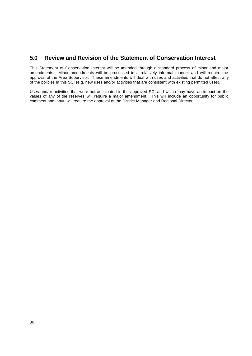### **5.0 Review and Revision of the Statement of Conservation Interest**

This Statement of Conservation Interest will be amended through a standard process of minor and major amendments. Minor amendments will be processed in a relatively informal manner and will require the approval of the Area Supervisor. These amendments will deal with uses and activities that do not affect any of the policies in this SCI (e.g. new uses and/or activities that are consistent with existing permitted uses).

Uses and/or activities that were not anticipated in the approved SCI and which may have an impact on the values of any of the reserves will require a major amendment. This will include an opportunity for public comment and input, will require the approval of the District Manager and Regional Director.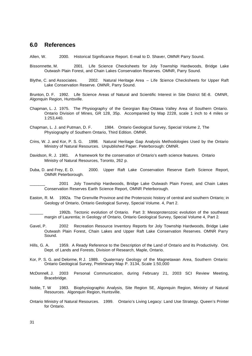### **6.0 References**

Allen, W. 2000. Historical Significance Report. E-mail to D. Shaver, OMNR Parry Sound.

- Bissonnette, M. 2001. Life Science Checksheets for Joly Township Hardwoods, Bridge Lake Outwash Plain Forest, and Chain Lakes Conservation Reserves. OMNR, Parry Sound.
- Blythe, C. and Associates. 2002. Natural Heritage Area Life Science Checksheets for Upper Raft Lake Conservation Reserve. OMNR, Parry Sound.

Brunton, D. F. 1992. Life Science Areas of Natural and Scientific Interest in Site District 5E-8. OMNR, Algonquin Region, Huntsville.

- Chapman, L. J. 1975. The Physiography of the Georgian Bay-Ottawa Valley Area of Southern Ontario. Ontario Division of Mines, GR 128, 35p. Accompanied by Map 2228, scale 1 inch to 4 miles or 1:253,440.
- Chapman, L. J. and Putman, D. F. 1984. Ontario Geological Survey, Special Volume 2, The Physiography of Southern Ontario, Third Edition. OMNR.
- Crins, W. J. and Kor, P. S. G. 1998. Natural Heritage Gap Analysis Methodologies Used by the Ontario Ministry of Natural Resources. Unpublished Paper. Peterborough: OMNR.
- Davidson, R. J. 1981. A framework for the conservation of Ontario's earth science features. Ontario Ministry of Natural Resources, Toronto, 262 p.
- Duba, D. and Frey, E. D. 2000. Upper Raft Lake Conservation Reserve Earth Science Report, OMNR Peterborough.

\_\_\_\_\_\_\_ 2001 Joly Township Hardwoods, Bridge Lake Outwash Plain Forest, and Chain Lakes Conservation Reserves Earth Science Report, OMNR Peterborough.

Easton, R. M. 1992a. The Grenville Province and the Proterozoic history of central and southern Ontario; in Geology of Ontario, Ontario Geological Survey, Special Volume. 4, Part 2.

1992b. Tectonic evolution of Ontario. Part 3: Mesoproterozoic evolution of the southeast margin of Laurentia; in Geology of Ontario, Ontario Geological Survey, Special Volume 4, Part 2.

- Gavel, P. 2002 Recreation Resource Inventory Reports for Joly Township Hardwoods, Bridge Lake Outwash Plain Forest, Chain Lakes and Upper Raft Lake Conservation Reserves. OMNR Parry Sound.
- Hills, G. A. 1959. A Ready Reference to the Description of the Land of Ontario and its Productivity. Ont. Dept. of Lands and Forests, Division of Research, Maple, Ontario.
- Kor, P. S. G. and Delorme, R J. 1989. Quaternary Geology of the Magnetawan Area, Southern Ontario: Ontario Geological Survey, Preliminary Map P. 3134, Scale 1:50,000
- McDonnell, J. 2003 Personal Communication, during February 21, 2003 SCI Review Meeting, Bracebridge.
- Noble, T. W 1983. Biophysiographic Analysis, Site Region 5E, Algonquin Region, Ministry of Natural Resources. Algonquin Region, Huntsville.
- Ontario Ministry of Natural Resources. 1999. Ontario's Living Legacy: Land Use Strategy. Queen's Printer for Ontario.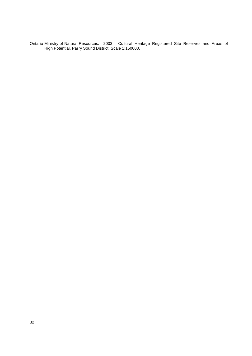Ontario Ministry of Natural Resources. 2003. Cultural Heritage Registered Site Reserves and Areas of High Potential, Parry Sound District, Scale 1:150000.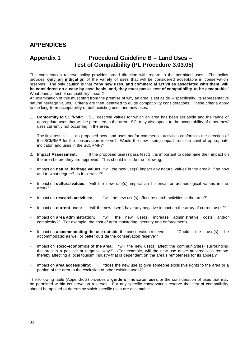### **APPENDICES**

### **Appendix 1 Procedural Guideline B – Land Uses – Test of Compatibility (PL Procedure 3.03.05)**

The conservation reserve policy provides broad direction with regard to the permitted uses. The policy provides **only an indication** of the variety of uses that will be considered acceptable in conservation reserves. The only caution is that **"any new uses, and commercial activities associated with them, will be considered on a case by case basis, and, they must pass a test of compatibility to be acceptable.**" What does a 'test of compatibility' mean?

An examination of this must start from the premise of why an area is set aside – specifically, its representative natural heritage values. Criteria are then identified to guide compatibility considerations. These criteria apply to the long-term acceptability of both existing uses and new uses.

1. **Conformity to SCI/RMP:** SCI describe values for which an area has been set aside and the range of appropriate uses that will be permitted in the area. SCI may also speak to the acceptability of other 'new' uses currently not occurring in the area.

The first 'test' is: "do proposed new land uses and/or commercial activities conform to the direction of the SCI/RMP for the conservation reserve? Would the new use(s) depart from the spirit of appropriate indicator land uses in the SCI/RMP?"

- 2. **Impact Assessment:** If the proposed use(s) pass test 1 it is important to determine their impact on the area before they are approved. This should include the following:
- Impact on **natural heritage values:** "will the new use(s) impact any natural values in the area? If so how and to what degree? Is it tolerable?"
- Impact on **cultural values:** "will the new use(s) impact an historical or archaeological values in the area?"
- Impact on **research activities:** "will the new use(s) affect research activities in the area?"
- Impact on **current uses:** "will the new use(s) have any negative impact on the array of current uses?"
- Impact on **area administration:** "will the new use(s) increase administrative costs and/or complexity?" (For example, the cost of area monitoring, security and enforcement).
- Impact on **accommodating the use outside** the conservation reserve: "Could the use(s) be accommodated as well or better outside the conservation reserve?"
- Impact on **socio-economics of the area:** "will the new use(s) affect the community(ies) surrounding the area in a positive or negative way?" (For example, will the new use make an area less remote thereby affecting a local tourism industry that is dependent on the area's remoteness for its appeal?"
- Impact on **area accessibility:** "does the new use(s) give someone exclusive rights to the area or a portion of the area to the exclusion of other existing uses?"

The following table (Appendix 2) provides a **guide of indicator uses** for the consideration of uses that may be permitted within conservation reserves. For any specific conservation reserve that test of compatibility should be applied to determine which specific uses are acceptable.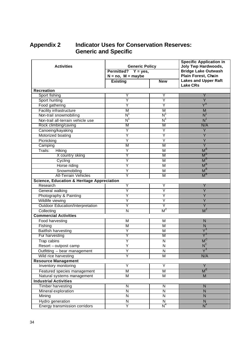## **Appendix 2 Indicator Uses for Conservation Reserves: Generic and Specific**

| <b>Activities</b>                                     | <b>Generic Policy</b><br>Permitted? $Y = yes$ ,<br>$N = no$ , $M = maybe$<br><b>Existing</b><br><b>New</b> |                                      | <b>Specific Application in</b><br>Joly Twp Hardwoods,<br><b>Bridge Lake Outwash</b><br>Plain Forest, Chain<br><b>Lakes and Upper Raft</b> |
|-------------------------------------------------------|------------------------------------------------------------------------------------------------------------|--------------------------------------|-------------------------------------------------------------------------------------------------------------------------------------------|
|                                                       |                                                                                                            |                                      | <b>Lake CRs</b>                                                                                                                           |
| <b>Recreation</b>                                     |                                                                                                            |                                      |                                                                                                                                           |
| Sport fishing                                         | Y                                                                                                          | Y                                    | Y                                                                                                                                         |
| Sport hunting                                         | Ϋ                                                                                                          | Ÿ                                    | $\overline{Y}$                                                                                                                            |
| Food gathering                                        | Υ                                                                                                          | Υ                                    | $\overline{\mathsf{Y}}^{\mathsf{A}}$                                                                                                      |
| <b>Facility infrastructure</b>                        | M                                                                                                          | M                                    | M                                                                                                                                         |
| Non-trail snowmobiling                                | $N^r$                                                                                                      | $\overline{\mathsf{N}}^{\mathsf{t}}$ | $N^{\prime}$                                                                                                                              |
| Non-trail all-terrain vehicle use                     | $N^{\mathsf{T}}$                                                                                           | $N^{\prime}$                         | $N$ <sup>1</sup>                                                                                                                          |
| Rock climbing/caving                                  | M                                                                                                          | М                                    | N/A                                                                                                                                       |
| Canoeing/kayaking                                     | Y                                                                                                          | Y                                    | $\overline{Y}$                                                                                                                            |
| Motorized boating                                     | Y                                                                                                          | Y                                    | Y                                                                                                                                         |
| Picnicking                                            | Y                                                                                                          | Y                                    | $\overline{Y}$                                                                                                                            |
| Camping                                               | M                                                                                                          | M                                    | $\overline{Y}$                                                                                                                            |
| Trails:<br>Hiking                                     | Ÿ                                                                                                          | M                                    | $M^B$                                                                                                                                     |
| X country skiing                                      | Y                                                                                                          | M                                    | $M^B$                                                                                                                                     |
| Cycling                                               | Ÿ                                                                                                          | M                                    | $M^B$                                                                                                                                     |
| Horse riding                                          | Υ                                                                                                          | M                                    | $M^B$                                                                                                                                     |
| Snowmobiling                                          | Ÿ                                                                                                          | M                                    | $\overline{M}^{\overline{B}}$                                                                                                             |
| <b>All-Terrain Vehicles</b>                           | Y                                                                                                          | M                                    | $M^B$                                                                                                                                     |
| <b>Science, Education &amp; Heritage Appreciation</b> |                                                                                                            |                                      |                                                                                                                                           |
| Research                                              | Y                                                                                                          | Y                                    | Y                                                                                                                                         |
| General walking                                       | Y                                                                                                          | Ÿ                                    | $\overline{Y}$                                                                                                                            |
| Photography & Painting                                | Υ                                                                                                          | Y                                    | Y                                                                                                                                         |
| Wildlife viewing                                      | Ϋ                                                                                                          | Ÿ                                    | Ÿ                                                                                                                                         |
| <b>Outdoor Education/Interpretation</b>               | Y                                                                                                          | Y                                    | Ÿ                                                                                                                                         |
| Collecting                                            | N                                                                                                          | M <sup>2</sup>                       | $M^2$                                                                                                                                     |
| <b>Commercial Activities</b>                          |                                                                                                            |                                      |                                                                                                                                           |
| <b>Food harvesting</b>                                | M                                                                                                          | M                                    | N                                                                                                                                         |
| Fishing                                               | $\overline{\mathsf{M}}$                                                                                    | M                                    | N                                                                                                                                         |
| <b>Baitfish harvesting</b>                            | Y                                                                                                          | M                                    | $\overline{\mathsf{Y}}^3$                                                                                                                 |
| Fur harvesting                                        | Y                                                                                                          | М                                    | Y                                                                                                                                         |
| Trap cabins                                           | Y                                                                                                          | N                                    | M'                                                                                                                                        |
| Resort - outpost camp                                 | Υ                                                                                                          | N                                    | $N^C$                                                                                                                                     |
| Outfitting - bear management                          | Υ                                                                                                          | N                                    | $Y^3$                                                                                                                                     |
| Wild rice harvesting                                  | Y                                                                                                          | $\overline{\mathsf{M}}$              | N/A                                                                                                                                       |
| <b>Resource Management</b>                            |                                                                                                            |                                      |                                                                                                                                           |
| Inventory monitoring                                  | Υ                                                                                                          | Y                                    | Y                                                                                                                                         |
| Featured species management                           | M                                                                                                          | M                                    | $M^E$                                                                                                                                     |
| Natural systems management                            | M                                                                                                          | M                                    | M                                                                                                                                         |
| <b>Industrial Activities</b>                          |                                                                                                            |                                      |                                                                                                                                           |
| Timber harvesting                                     | N                                                                                                          | ${\sf N}$                            | N                                                                                                                                         |
| Mineral exploration                                   | N                                                                                                          | $\overline{\mathsf{N}}$              | $\mathsf{N}$                                                                                                                              |
| Mining                                                | N                                                                                                          | $\overline{\mathsf{N}}$              | $\mathsf{N}$                                                                                                                              |
|                                                       |                                                                                                            |                                      |                                                                                                                                           |
| Hydro generation                                      | N<br>Y                                                                                                     | N<br>$N^4$                           | ${\sf N}$<br>$N^4$                                                                                                                        |
| <b>Energy transmission corridors</b>                  |                                                                                                            |                                      |                                                                                                                                           |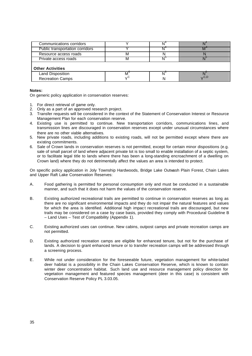| Communications corridors        |    |                         |      |
|---------------------------------|----|-------------------------|------|
| Public transportation corridors |    |                         |      |
| Resource access roads           | м  |                         |      |
| Private access roads            | м  | $\mathsf{N}^\mathsf{v}$ |      |
| <b>Other Activities</b>         |    |                         |      |
| Land Disposition                |    | $N^{\circ}$             |      |
| <b>Recreation Camps</b>         | 、C |                         | C, D |

#### **Notes:**

On generic policy application in conservation reserves:

- 1. For direct retrieval of game only.
- 2. Only as a part of an approved research project.
- 3. Transfer requests will be considered in the context of the Statement of Conservation Interest or Resource Management Plan for each conservation reserve.
- 4. Existing use is permitted to continue. New transportation corridors, communications lines, and transmission lines are discouraged in conservation reserves except under unusual circumstances where there are no other viable alternatives.
- 5. New private roads, including additions to existing roads, will not be permitted except where there are existing commitments.
- 6. Sale of Crown lands in conservation reserves is not permitted, except for certain minor dispositions (e.g. sale of small parcel of land where adjacent private lot is too small to enable installation of a septic system, or to facilitate legal title to lands where there has been a long-standing encroachment of a dwelling on Crown land) where they do not detrimentally affect the values an area is intended to protect.

On specific policy application in Joly Township Hardwoods, Bridge Lake Outwash Plain Forest, Chain Lakes and Upper Raft Lake Conservation Reserves:

- A. Food gathering is permitted for personal consumption only and must be conducted in a sustainable manner, and such that it does not harm the values of the conservation reserve.
- B. Existing authorized recreational trails are permitted to continue in conservation reserves as long as there are no significant environmental impacts and they do not impair the natural features and values for which the area is identified. Additional high impact recreational trails are discouraged, but new trails may be considered on a case by case basis, provided they comply with Procedural Guideline B – Land Uses – Test of Compatibility (Appendix 1).
- C. Existing authorized uses can continue. New cabins, outpost camps and private recreation camps are not permitted.
- D. Existing authorized recreation camps are eligible for enhanced tenure, but not for the purchase of lands. A decision to grant enhanced tenure or to transfer recreation camps will be addressed through a screening process.
- E. While not under consideration for the foreseeable future, vegetation management for white-tailed deer habitat is a possibility in the Chain Lakes Conservation Reserve, which is known to contain winter deer concentration habitat. Such land use and resource management policy direction for vegetation management and featured species management (deer in this case) is consistent with Conservation Reserve Policy PL 3.03.05.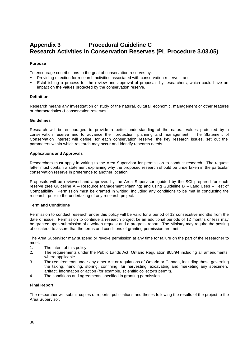## **Appendix 3 Procedural Guideline C Research Activities in Conservation Reserves (PL Procedure 3.03.05)**

#### **Purpose**

To encourage contributions to the goal of conservation reserves by:

- Providing direction for research activities associated with conservation reserves; and
- Establishing a process for the review and approval of proposals by researchers, which could have an impact on the values protected by the conservation reserve.

#### **Definition**

Research means any investigation or study of the natural, cultural, economic, management or other features or characteristics of conservation reserves.

#### **Guidelines**

Research will be encouraged to provide a better understanding of the natural values protected by a conservation reserve and to advance their protection, planning and management. The Statement of Conservation Interest will define, for each conservation reserve, the key research issues, set out the parameters within which research may occur and identify research needs.

#### **Applications and Approvals**

Researchers must apply in writing to the Area Supervisor for permission to conduct research. The request letter must contain a statement explaining why the proposed research should be undertaken in the particular conservation reserve in preference to another location.

Proposals will be reviewed and approved by the Area Supervisor, guided by the SCI prepared for each reserve (see Guideline A – Resource Management Planning) and using Guideline B – Land Uses – Test of Compatibility. Permission must be granted in writing, including any conditions to be met in conducting the research, prior to the undertaking of any research project.

#### **Term and Conditions**

Permission to conduct research under this policy will be valid for a period of 12 consecutive months from the date of issue. Permission to continue a research project for an additional periods of 12 months or less may be granted upon submission of a written request and a progress report. The Ministry may require the posting of collateral to assure that the terms and conditions of granting permission are met.

The Area Supervisor may suspend or revoke permission at any time for failure on the part of the researcher to meet:

- 1. The intent of this policy.
- 2. The requirements under the Public Lands Act, Ontario Regulation 805/94 including all amendments, where applicable.
- 3. The requirements under any other Act or regulations of Ontario or Canada, including those governing the taking, handling, storing, confining, fur harvesting, excavating and marketing any specimen, artifact, information or action (for example, scientific collector's permit).
- 4. The conditions and agreements specified in granting permission.

#### **Final Report**

The researcher will submit copies of reports, publications and theses following the results of the project to the Area Supervisor.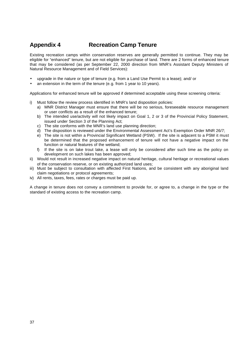## **Appendix 4 Recreation Camp Tenure**

Existing recreation camps within conservation reserves are generally permitted to continue. They may be eligible for "enhanced" tenure, but are not eligible for purchase of land. There are 2 forms of enhanced tenure that may be considered (as per September 22, 2000 direction from MNR's Assistant Deputy Ministers of Natural Resource Management and of Field Services):

- upgrade in the nature or type of tenure (e.g. from a Land Use Permit to a lease); and/ or
- an extension in the term of the tenure (e.g. from 1 year to 10 years).

Applications for enhanced tenure will be approved if determined acceptable using these screening criteria:

- i) Must follow the review process identified in MNR's land disposition policies:
	- a) MNR District Manager must ensure that there will be no serious, foreseeable resource management or user conflicts as a result of the enhanced tenure;
	- b) The intended use/activity will not likely impact on Goal 1, 2 or 3 of the Provincial Policy Statement, issued under Section 3 of the Planning Act;
	- c) The site conforms with the MNR's land use planning direction;
	- d) The disposition is reviewed under the Environmental Assessment Act's Exemption Order MNR 26/7;
	- e) The site is not within a Provincial Significant Wetland (PSW). If the site is adjacent to a PSW it must be determined that the proposed enhancement of tenure will not have a negative impact on the function or natural features of the wetland;
	- f) If the site is on lake trout lake, a lease will only be considered after such time as the policy on development on such lakes has been approved;
- ii) Would not result in increased negative impact on natural heritage, cultural heritage or recreational values of the conservation reserve, or on existing authorized land uses;
- iii) Must be subject to consultation with affected First Nations, and be consistent with any aboriginal land claim negotiations or protocol agreements;
- iv) All rents, taxes, fees, rates or charges must be paid up.

A change in tenure does not convey a commitment to provide for, or agree to, a change in the type or the standard of existing access to the recreation camp.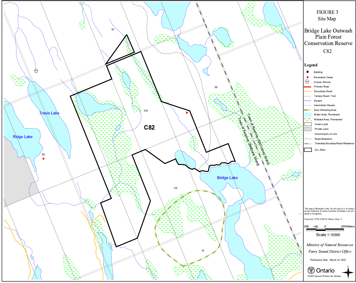